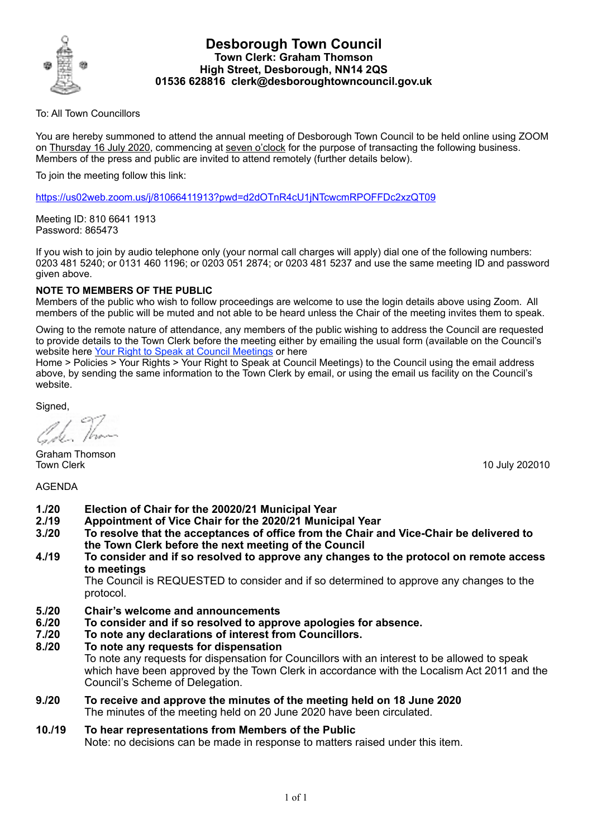

## **Desborough Town Council Town Clerk: Graham Thomson High Street, Desborough, NN14 2QS 01536 628816 clerk@desboroughtowncouncil.gov.uk**

To: All Town Councillors

You are hereby summoned to attend the annual meeting of Desborough Town Council to be held online using ZOOM on Thursday 16 July 2020, commencing at seven o'clock for the purpose of transacting the following business. Members of the press and public are invited to attend remotely (further details below).

To join the meeting follow this link:

<https://us02web.zoom.us/j/81066411913?pwd=d2dOTnR4cU1jNTcwcmRPOFFDc2xzQT09>

Meeting ID: 810 6641 1913 Password: 865473

If you wish to join by audio telephone only (your normal call charges will apply) dial one of the following numbers: 0203 481 5240; or 0131 460 1196; or 0203 051 2874; or 0203 481 5237 and use the same meeting ID and password given above.

## **NOTE TO MEMBERS OF THE PUBLIC**

Members of the public who wish to follow proceedings are welcome to use the login details above using Zoom. All members of the public will be muted and not able to be heard unless the Chair of the meeting invites them to speak.

Owing to the remote nature of attendance, any members of the public wishing to address the Council are requested to provide details to the Town Clerk before the meeting either by emailing the usual form (available on the Council's website here [Your Right to Speak at Council Meetings](https://desboroughtowncouncil.gov.uk/documents/your-right-to-speak-at-council-meetings-form-16-05-2019/) or here

Home > Policies > Your Rights > Your Right to Speak at Council Meetings) to the Council using the email address above, by sending the same information to the Town Clerk by email, or using the email us facility on the Council's website.

Signed,

Graham Thomson Town Clerk 10 July 202010

AGENDA

- **1./20 Election of Chair for the 20020/21 Municipal Year**
- **2./19 Appointment of Vice Chair for the 2020/21 Municipal Year**
- **3./20 To resolve that the acceptances of office from the Chair and Vice-Chair be delivered to the Town Clerk before the next meeting of the Council**
- **4./19 To consider and if so resolved to approve any changes to the protocol on remote access to meetings**

The Council is REQUESTED to consider and if so determined to approve any changes to the protocol.

- **5./20 Chair's welcome and announcements**
- **6./20 To consider and if so resolved to approve apologies for absence.**
- **7./20 To note any declarations of interest from Councillors.**
- **8./20 To note any requests for dispensation**

To note any requests for dispensation for Councillors with an interest to be allowed to speak which have been approved by the Town Clerk in accordance with the Localism Act 2011 and the Council's Scheme of Delegation.

- **9./20 To receive and approve the minutes of the meeting held on 18 June 2020**  The minutes of the meeting held on 20 June 2020 have been circulated.
- **10./19 To hear representations from Members of the Public**  Note: no decisions can be made in response to matters raised under this item.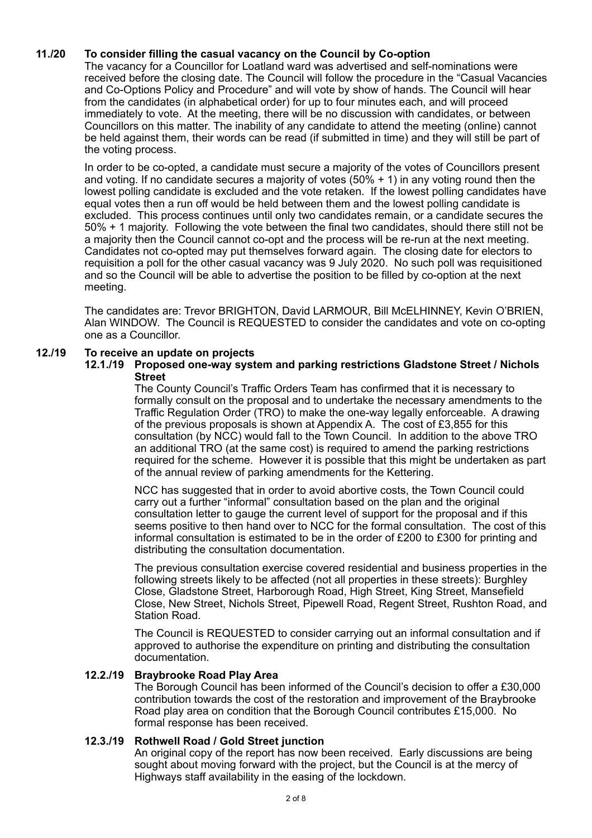# **11./20 To consider filling the casual vacancy on the Council by Co-option**

The vacancy for a Councillor for Loatland ward was advertised and self-nominations were received before the closing date. The Council will follow the procedure in the "Casual Vacancies and Co-Options Policy and Procedure" and will vote by show of hands. The Council will hear from the candidates (in alphabetical order) for up to four minutes each, and will proceed immediately to vote. At the meeting, there will be no discussion with candidates, or between Councillors on this matter. The inability of any candidate to attend the meeting (online) cannot be held against them, their words can be read (if submitted in time) and they will still be part of the voting process.

In order to be co-opted, a candidate must secure a majority of the votes of Councillors present and voting. If no candidate secures a majority of votes  $(50\% + 1)$  in any voting round then the lowest polling candidate is excluded and the vote retaken. If the lowest polling candidates have equal votes then a run off would be held between them and the lowest polling candidate is excluded. This process continues until only two candidates remain, or a candidate secures the 50% + 1 majority. Following the vote between the final two candidates, should there still not be a majority then the Council cannot co-opt and the process will be re-run at the next meeting. Candidates not co-opted may put themselves forward again. The closing date for electors to requisition a poll for the other casual vacancy was 9 July 2020. No such poll was requisitioned and so the Council will be able to advertise the position to be filled by co-option at the next meeting.

The candidates are: Trevor BRIGHTON, David LARMOUR, Bill McELHINNEY, Kevin O'BRIEN, Alan WINDOW. The Council is REQUESTED to consider the candidates and vote on co-opting one as a Councillor.

# **12./19 To receive an update on projects**

## **12.1./19 Proposed one-way system and parking restrictions Gladstone Street / Nichols Street**

The County Council's Traffic Orders Team has confirmed that it is necessary to formally consult on the proposal and to undertake the necessary amendments to the Traffic Regulation Order (TRO) to make the one-way legally enforceable. A drawing of the previous proposals is shown at Appendix A. The cost of £3,855 for this consultation (by NCC) would fall to the Town Council. In addition to the above TRO an additional TRO (at the same cost) is required to amend the parking restrictions required for the scheme. However it is possible that this might be undertaken as part of the annual review of parking amendments for the Kettering.

NCC has suggested that in order to avoid abortive costs, the Town Council could carry out a further "informal" consultation based on the plan and the original consultation letter to gauge the current level of support for the proposal and if this seems positive to then hand over to NCC for the formal consultation. The cost of this informal consultation is estimated to be in the order of £200 to £300 for printing and distributing the consultation documentation.

The previous consultation exercise covered residential and business properties in the following streets likely to be affected (not all properties in these streets): Burghley Close, Gladstone Street, Harborough Road, High Street, King Street, Mansefield Close, New Street, Nichols Street, Pipewell Road, Regent Street, Rushton Road, and Station Road.

The Council is REQUESTED to consider carrying out an informal consultation and if approved to authorise the expenditure on printing and distributing the consultation documentation.

# **12.2./19 Braybrooke Road Play Area**

The Borough Council has been informed of the Council's decision to offer a £30,000 contribution towards the cost of the restoration and improvement of the Braybrooke Road play area on condition that the Borough Council contributes £15,000. No formal response has been received.

# **12.3./19 Rothwell Road / Gold Street junction**

An original copy of the report has now been received. Early discussions are being sought about moving forward with the project, but the Council is at the mercy of Highways staff availability in the easing of the lockdown.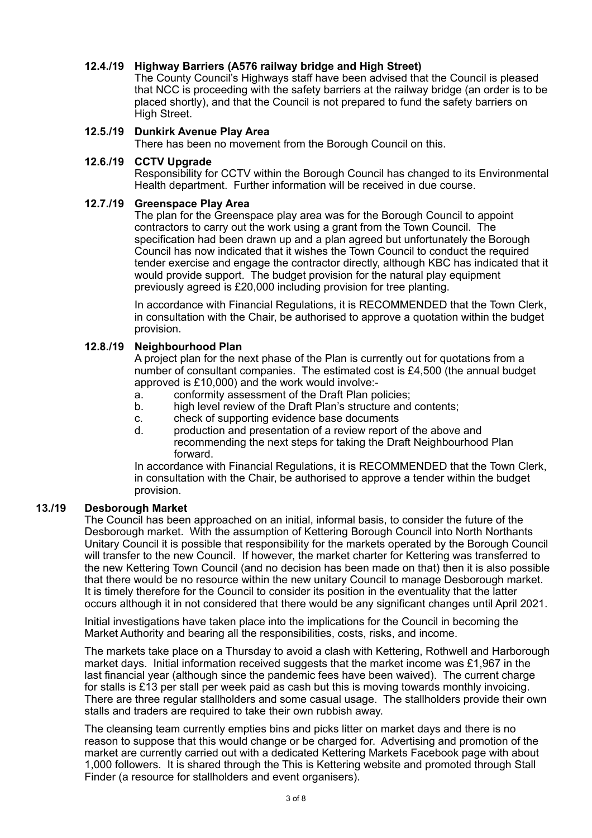# **12.4./19 Highway Barriers (A576 railway bridge and High Street)**

The County Council's Highways staff have been advised that the Council is pleased that NCC is proceeding with the safety barriers at the railway bridge (an order is to be placed shortly), and that the Council is not prepared to fund the safety barriers on High Street.

# **12.5./19 Dunkirk Avenue Play Area**

There has been no movement from the Borough Council on this.

## **12.6./19 CCTV Upgrade**

Responsibility for CCTV within the Borough Council has changed to its Environmental Health department. Further information will be received in due course.

## **12.7./19 Greenspace Play Area**

The plan for the Greenspace play area was for the Borough Council to appoint contractors to carry out the work using a grant from the Town Council. The specification had been drawn up and a plan agreed but unfortunately the Borough Council has now indicated that it wishes the Town Council to conduct the required tender exercise and engage the contractor directly, although KBC has indicated that it would provide support. The budget provision for the natural play equipment previously agreed is £20,000 including provision for tree planting.

In accordance with Financial Regulations, it is RECOMMENDED that the Town Clerk, in consultation with the Chair, be authorised to approve a quotation within the budget provision.

## **12.8./19 Neighbourhood Plan**

A project plan for the next phase of the Plan is currently out for quotations from a number of consultant companies. The estimated cost is £4,500 (the annual budget approved is £10,000) and the work would involve:-

- a. conformity assessment of the Draft Plan policies;
- b. high level review of the Draft Plan's structure and contents;
- c. check of supporting evidence base documents
- d. production and presentation of a review report of the above and recommending the next steps for taking the Draft Neighbourhood Plan forward.

In accordance with Financial Regulations, it is RECOMMENDED that the Town Clerk, in consultation with the Chair, be authorised to approve a tender within the budget provision.

## **13./19 Desborough Market**

The Council has been approached on an initial, informal basis, to consider the future of the Desborough market. With the assumption of Kettering Borough Council into North Northants Unitary Council it is possible that responsibility for the markets operated by the Borough Council will transfer to the new Council. If however, the market charter for Kettering was transferred to the new Kettering Town Council (and no decision has been made on that) then it is also possible that there would be no resource within the new unitary Council to manage Desborough market. It is timely therefore for the Council to consider its position in the eventuality that the latter occurs although it in not considered that there would be any significant changes until April 2021.

Initial investigations have taken place into the implications for the Council in becoming the Market Authority and bearing all the responsibilities, costs, risks, and income.

The markets take place on a Thursday to avoid a clash with Kettering, Rothwell and Harborough market days. Initial information received suggests that the market income was £1,967 in the last financial year (although since the pandemic fees have been waived). The current charge for stalls is £13 per stall per week paid as cash but this is moving towards monthly invoicing. There are three regular stallholders and some casual usage. The stallholders provide their own stalls and traders are required to take their own rubbish away.

The cleansing team currently empties bins and picks litter on market days and there is no reason to suppose that this would change or be charged for. Advertising and promotion of the market are currently carried out with a dedicated Kettering Markets Facebook page with about 1,000 followers. It is shared through the This is Kettering website and promoted through Stall Finder (a resource for stallholders and event organisers).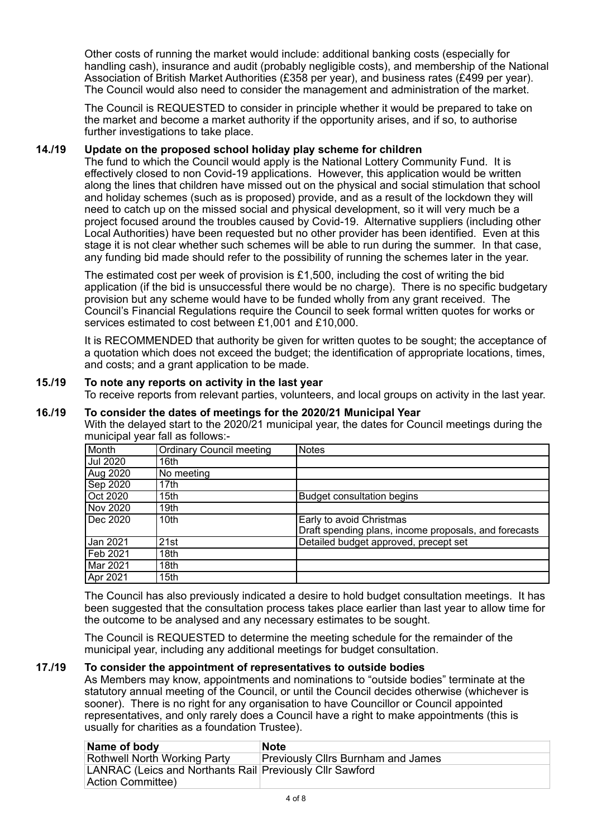Other costs of running the market would include: additional banking costs (especially for handling cash), insurance and audit (probably negligible costs), and membership of the National Association of British Market Authorities (£358 per year), and business rates (£499 per year). The Council would also need to consider the management and administration of the market.

The Council is REQUESTED to consider in principle whether it would be prepared to take on the market and become a market authority if the opportunity arises, and if so, to authorise further investigations to take place.

# **14./19 Update on the proposed school holiday play scheme for children**

The fund to which the Council would apply is the National Lottery Community Fund. It is effectively closed to non Covid-19 applications. However, this application would be written along the lines that children have missed out on the physical and social stimulation that school and holiday schemes (such as is proposed) provide, and as a result of the lockdown they will need to catch up on the missed social and physical development, so it will very much be a project focused around the troubles caused by Covid-19. Alternative suppliers (including other Local Authorities) have been requested but no other provider has been identified. Even at this stage it is not clear whether such schemes will be able to run during the summer. In that case, any funding bid made should refer to the possibility of running the schemes later in the year.

The estimated cost per week of provision is  $£1,500$ , including the cost of writing the bid application (if the bid is unsuccessful there would be no charge). There is no specific budgetary provision but any scheme would have to be funded wholly from any grant received. The Council's Financial Regulations require the Council to seek formal written quotes for works or services estimated to cost between £1,001 and £10,000.

It is RECOMMENDED that authority be given for written quotes to be sought; the acceptance of a quotation which does not exceed the budget; the identification of appropriate locations, times, and costs; and a grant application to be made.

## **15./19 To note any reports on activity in the last year**

To receive reports from relevant parties, volunteers, and local groups on activity in the last year.

## **16./19 To consider the dates of meetings for the 2020/21 Municipal Year**

With the delayed start to the 2020/21 municipal year, the dates for Council meetings during the municipal year fall as follows:-

| Month           | <b>Ordinary Council meeting</b> | <b>Notes</b>                                          |
|-----------------|---------------------------------|-------------------------------------------------------|
| Jul 2020        | 16th                            |                                                       |
| <b>Aug 2020</b> | No meeting                      |                                                       |
| Sep 2020        | 17th                            |                                                       |
| Oct 2020        | 15th                            | <b>Budget consultation begins</b>                     |
| Nov 2020        | 19th                            |                                                       |
| l Dec 2020      | 10th                            | Early to avoid Christmas                              |
|                 |                                 | Draft spending plans, income proposals, and forecasts |
| Jan 2021        | 21st                            | Detailed budget approved, precept set                 |
| Feb 2021        | 18th                            |                                                       |
| Mar 2021        | 18th                            |                                                       |
| Apr 2021        | 15 <sub>th</sub>                |                                                       |

The Council has also previously indicated a desire to hold budget consultation meetings. It has been suggested that the consultation process takes place earlier than last year to allow time for the outcome to be analysed and any necessary estimates to be sought.

The Council is REQUESTED to determine the meeting schedule for the remainder of the municipal year, including any additional meetings for budget consultation.

## **17./19 To consider the appointment of representatives to outside bodies**

As Members may know, appointments and nominations to "outside bodies" terminate at the statutory annual meeting of the Council, or until the Council decides otherwise (whichever is sooner). There is no right for any organisation to have Councillor or Council appointed representatives, and only rarely does a Council have a right to make appointments (this is usually for charities as a foundation Trustee).

| Name of body                                             | <b>Note</b>                               |
|----------------------------------------------------------|-------------------------------------------|
| <b>Rothwell North Working Party</b>                      | <b>Previously Cllrs Burnham and James</b> |
| LANRAC (Leics and Northants Rail Previously Cllr Sawford |                                           |
| Action Committee)                                        |                                           |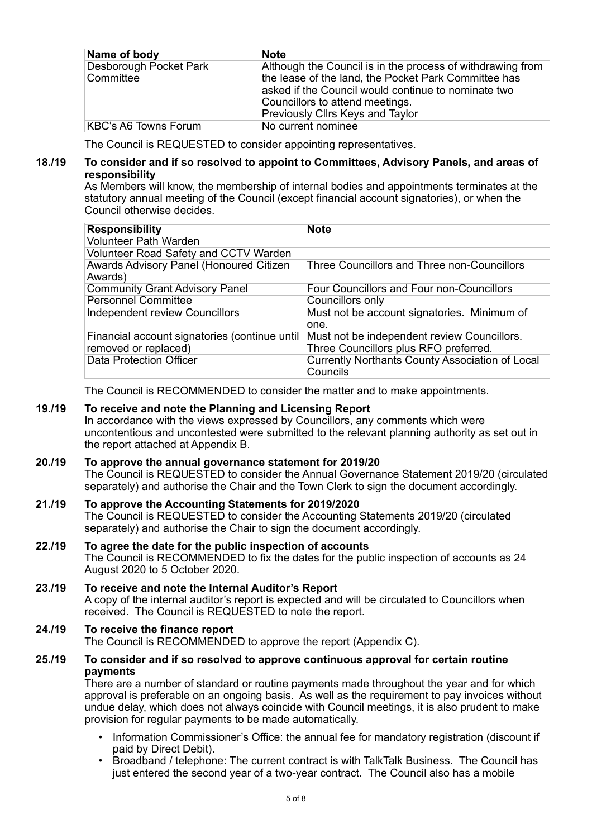| Name of body                        | <b>Note</b>                                                                                                                                                                                                  |
|-------------------------------------|--------------------------------------------------------------------------------------------------------------------------------------------------------------------------------------------------------------|
| Desborough Pocket Park<br>Committee | Although the Council is in the process of withdrawing from<br>the lease of the land, the Pocket Park Committee has<br>asked if the Council would continue to nominate two<br>Councillors to attend meetings. |
|                                     | Previously Cllrs Keys and Taylor                                                                                                                                                                             |
| <b>KBC's A6 Towns Forum</b>         | No current nominee                                                                                                                                                                                           |

The Council is REQUESTED to consider appointing representatives.

## **18./19 To consider and if so resolved to appoint to Committees, Advisory Panels, and areas of responsibility**

As Members will know, the membership of internal bodies and appointments terminates at the statutory annual meeting of the Council (except financial account signatories), or when the Council otherwise decides.

| <b>Responsibility</b>                                                 | <b>Note</b>                                                                          |
|-----------------------------------------------------------------------|--------------------------------------------------------------------------------------|
| <b>Volunteer Path Warden</b>                                          |                                                                                      |
| Volunteer Road Safety and CCTV Warden                                 |                                                                                      |
| Awards Advisory Panel (Honoured Citizen<br>Awards)                    | Three Councillors and Three non-Councillors                                          |
| <b>Community Grant Advisory Panel</b>                                 | Four Councillors and Four non-Councillors                                            |
| <b>Personnel Committee</b>                                            | Councillors only                                                                     |
| <b>Independent review Councillors</b>                                 | Must not be account signatories. Minimum of<br>one.                                  |
| Financial account signatories (continue until<br>removed or replaced) | Must not be independent review Councillors.<br>Three Councillors plus RFO preferred. |
| <b>Data Protection Officer</b>                                        | Currently Northants County Association of Local<br>Councils                          |

The Council is RECOMMENDED to consider the matter and to make appointments.

# **19./19 To receive and note the Planning and Licensing Report**

In accordance with the views expressed by Councillors, any comments which were uncontentious and uncontested were submitted to the relevant planning authority as set out in the report attached at Appendix B.

# **20./19 To approve the annual governance statement for 2019/20**

The Council is REQUESTED to consider the Annual Governance Statement 2019/20 (circulated separately) and authorise the Chair and the Town Clerk to sign the document accordingly.

## **21./19 To approve the Accounting Statements for 2019/2020**  The Council is REQUESTED to consider the Accounting Statements 2019/20 (circulated separately) and authorise the Chair to sign the document accordingly.

# **22./19 To agree the date for the public inspection of accounts**  The Council is RECOMMENDED to fix the dates for the public inspection of accounts as 24 August 2020 to 5 October 2020.

# **23./19 To receive and note the Internal Auditor's Report**  A copy of the internal auditor's report is expected and will be circulated to Councillors when received. The Council is REQUESTED to note the report.

#### **24./19 To receive the finance report**  The Council is RECOMMENDED to approve the report (Appendix C).

## **25./19 To consider and if so resolved to approve continuous approval for certain routine payments**

There are a number of standard or routine payments made throughout the year and for which approval is preferable on an ongoing basis. As well as the requirement to pay invoices without undue delay, which does not always coincide with Council meetings, it is also prudent to make provision for regular payments to be made automatically.

- Information Commissioner's Office: the annual fee for mandatory registration (discount if paid by Direct Debit).
- Broadband / telephone: The current contract is with TalkTalk Business. The Council has just entered the second year of a two-year contract. The Council also has a mobile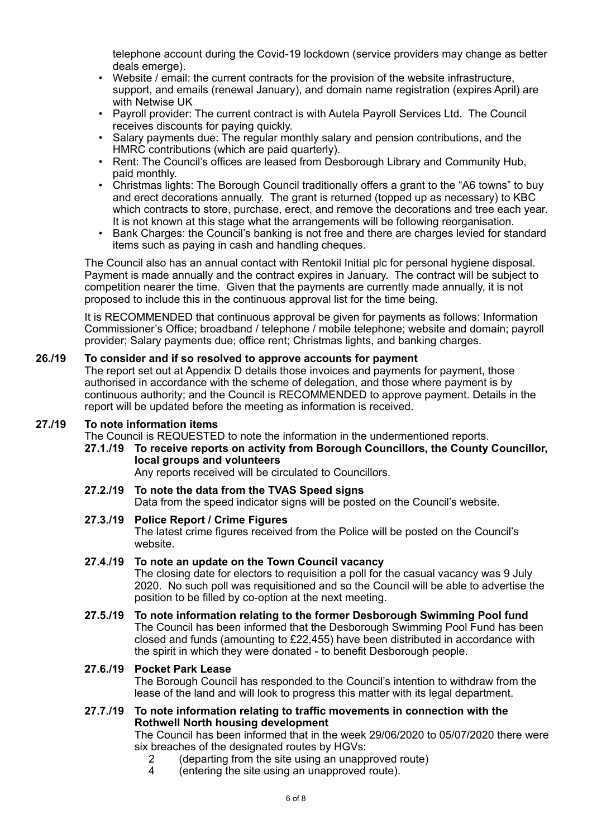telephone account during the Covid-19 lockdown (service providers may change as better deals emerge).

- Website / email: the current contracts for the provision of the website infrastructure, support, and emails (renewal January), and domain name registration (expires April) are with Netwise UK
- Payroll provider: The current contract is with Autela Payroll Services Ltd. The Council receives discounts for paying quickly.
- Salary payments due: The regular monthly salary and pension contributions, and the HMRC contributions (which are paid quarterly).
- Rent: The Council's offices are leased from Desborough Library and Community Hub, paid monthly.
- Christmas lights: The Borough Council traditionally offers a grant to the "A6 towns" to buy and erect decorations annually. The grant is returned (topped up as necessary) to KBC which contracts to store, purchase, erect, and remove the decorations and tree each year. It is not known at this stage what the arrangements will be following reorganisation.
- Bank Charges: the Council's banking is not free and there are charges levied for standard items such as paying in cash and handling cheques.

The Council also has an annual contact with Rentokil Initial plc for personal hygiene disposal. Payment is made annually and the contract expires in January. The contract will be subject to competition nearer the time. Given that the payments are currently made annually, it is not proposed to include this in the continuous approval list for the time being.

It is RECOMMENDED that continuous approval be given for payments as follows: Information Commissioner's Office; broadband / telephone / mobile telephone; website and domain; payroll provider; Salary payments due; office rent; Christmas lights, and banking charges.

# **26./19 To consider and if so resolved to approve accounts for payment**

The report set out at Appendix D details those invoices and payments for payment, those authorised in accordance with the scheme of delegation, and those where payment is by continuous authority; and the Council is RECOMMENDED to approve payment. Details in the report will be updated before the meeting as information is received.

# **27./19 To note information items**

The Council is REQUESTED to note the information in the undermentioned reports.

# **27.1./19 To receive reports on activity from Borough Councillors, the County Councillor, local groups and volunteers**

Any reports received will be circulated to Councillors.

**27.2./19 To note the data from the TVAS Speed signs**  Data from the speed indicator signs will be posted on the Council's website.

# **27.3./19 Police Report / Crime Figures**

The latest crime figures received from the Police will be posted on the Council's website.

# **27.4./19 To note an update on the Town Council vacancy**

The closing date for electors to requisition a poll for the casual vacancy was 9 July 2020. No such poll was requisitioned and so the Council will be able to advertise the position to be filled by co-option at the next meeting.

**27.5./19 To note information relating to the former Desborough Swimming Pool fund**  The Council has been informed that the Desborough Swimming Pool Fund has been closed and funds (amounting to £22,455) have been distributed in accordance with the spirit in which they were donated - to benefit Desborough people.

## **27.6./19 Pocket Park Lease**  The Borough Council has responded to the Council's intention to withdraw from the lease of the land and will look to progress this matter with its legal department.

## **27.7./19 To note information relating to traffic movements in connection with the Rothwell North housing development**

The Council has been informed that in the week 29/06/2020 to 05/07/2020 there were six breaches of the designated routes by HGVs:

- 2 (departing from the site using an unapproved route)
- 4 (entering the site using an unapproved route).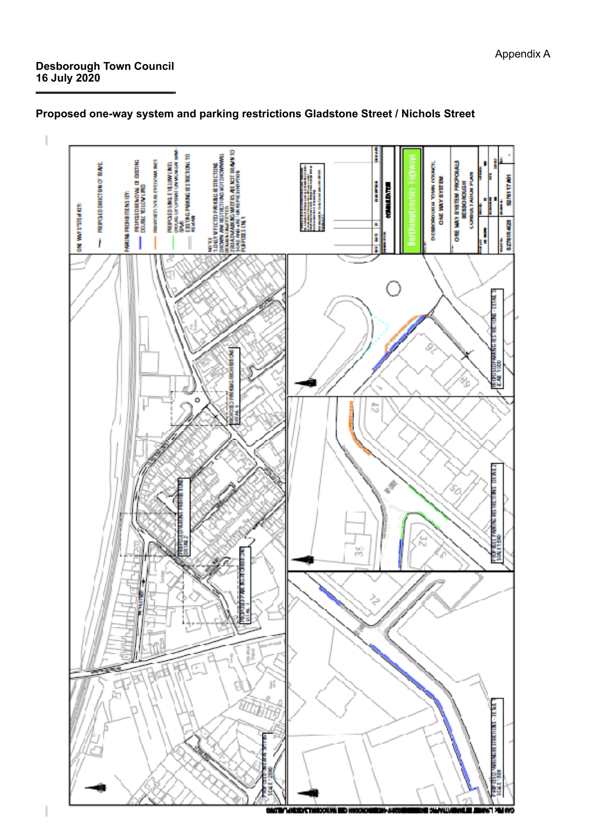# **Desborough Town Council 16 July 2020**

I



# **Proposed one-way system and parking restrictions Gladstone Street / Nichols Street**

Appendix A